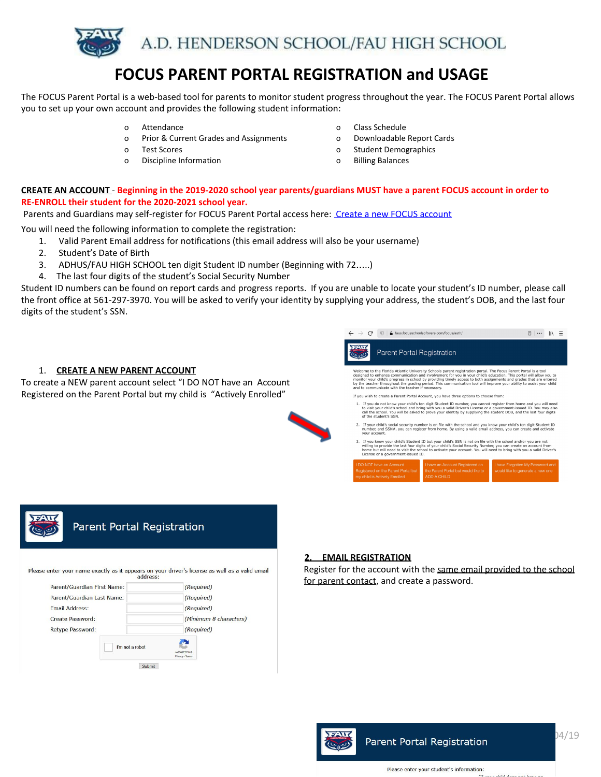

# **FOCUS PARENT PORTAL REGISTRATION and USAGE**

The FOCUS Parent Portal is a web-based tool for parents to monitor student progress throughout the year. The FOCUS Parent Portal allows you to set up your own account and provides the following student information:

- 
- o Prior & Current Grades and Assignments o Downloadable Report Cards
- o Test Scores o Student Demographics
- o Discipline Information o Billing Balances
- o Attendance o Class Schedule
	-
	-
	-

# CREATE AN ACCOUNT - Beginning in the 2019-2020 school year parents/guardians MUST have a parent FOCUS account in order to **RE-ENROLL their student for the 2020-2021 school year.**

Parents and Guardians may self-register for FOCUS Parent Portal access here: Create a new FOCUS [account](https://faus.focusschoolsoftware.com/focus/auth/)

You will need the following information to complete the registration:

- 1. Valid Parent Email address for notifications (this email address will also be your username)
- 2. Student's Date of Birth
- 3. ADHUS/FAU HIGH SCHOOL ten digit Student ID number (Beginning with 72…..)
- 4. The last four digits of the student's Social Security Number

Student ID numbers can be found on report cards and progress reports. If you are unable to locate your student's ID number, please call the front office at 561-297-3970. You will be asked to verify your identity by supplying your address, the student's DOB, and the last four digits of the student's SSN.





#### **2. EMAIL REGISTRATION**

Register for the account with the same email provided to the school for parent contact, and create a password.

![](_page_0_Picture_24.jpeg)

# Parent Portal Registration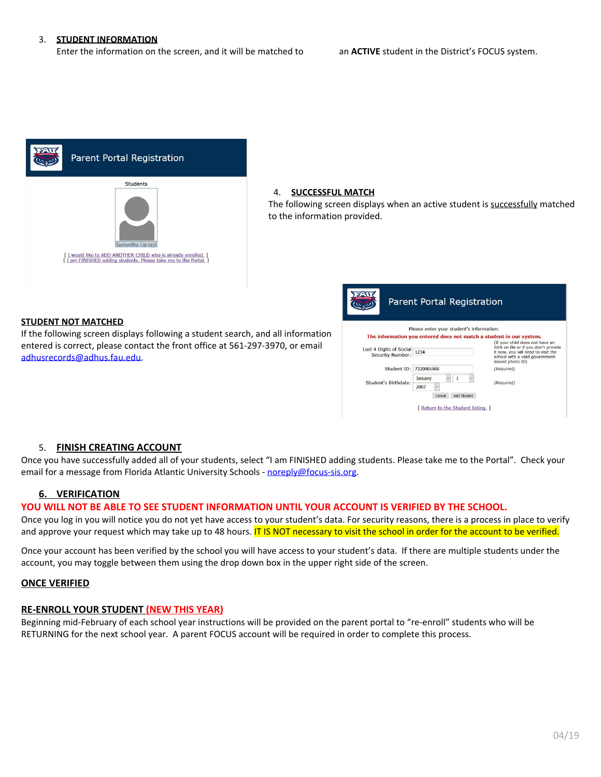#### 3. **STUDENT INFORMATION**

Enter the information on the screen, and it will be matched to an **ACTIVE** student in the District's FOCUS system.

![](_page_1_Figure_3.jpeg)

#### 4. **SUCCESSFUL MATCH**

The following screen displays when an active student is successfully matched to the information provided.

#### **STUDENT NOT MATCHED**

If the following screen displays following a student search, and all information entered is correct, please contact the front office at 561-297-3970, or email [adhusrecords@adhus.fau.edu.](mailto:adhusrecords@adhus.fau.edu)

![](_page_1_Figure_8.jpeg)

# 5. **FINISH CREATING ACCOUNT**

Once you have successfully added all of your students, select "I am FINISHED adding students. Please take me to the Portal". Check your email for a message from Florida Atlantic University Schools - [noreply@focus-sis.org](mailto:noreply@focus-sis.org).

#### **6. VERIFICATION**

#### **YOU WILL NOT BE ABLE TO SEE STUDENT INFORMATION UNTIL YOUR ACCOUNT IS VERIFIED BY THE SCHOOL.**

Once you log in you will notice you do not yet have access to your student's data. For security reasons, there is a process in place to verify and approve your request which may take up to 48 hours. IT IS NOT necessary to visit the school in order for the account to be verified.

Once your account has been verified by the school you will have access to your student's data. If there are multiple students under the account, you may toggle between them using the drop down box in the upper right side of the screen.

## **ONCE VERIFIED**

#### **RE-ENROLL YOUR STUDENT (NEW THIS YEAR)**

Beginning mid-February of each school year instructions will be provided on the parent portal to "re-enroll" students who will be RETURNING for the next school year. A parent FOCUS account will be required in order to complete this process.